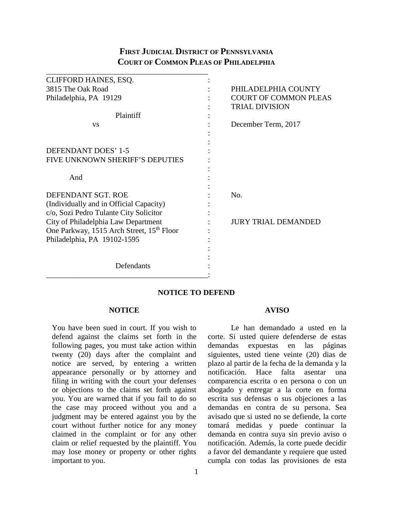# **FIRST JUDICIAL DISTRICT OF PENNSYLVANIA COURT OF COMMON PLEAS OF PHILADELPHIA**

| CLIFFORD HAINES, ESQ.                     |     |                              |
|-------------------------------------------|-----|------------------------------|
| 3815 The Oak Road                         |     | PHILADELPHIA COUNTY          |
| Philadelphia, PA 19129                    |     | <b>COURT OF COMMON PLEAS</b> |
|                                           |     | <b>TRIAL DIVISION</b>        |
| Plaintiff                                 |     |                              |
| <b>VS</b>                                 |     | December Term, 2017          |
|                                           |     |                              |
|                                           |     |                              |
| DEFENDANT DOES' 1-5                       |     |                              |
| FIVE UNKNOWN SHERIFF'S DEPUTIES           |     |                              |
|                                           |     |                              |
| And                                       |     |                              |
|                                           |     |                              |
| DEFENDANT SGT. ROE                        | No. |                              |
| (Individually and in Official Capacity)   |     |                              |
| c/o, Sozi Pedro Tulante City Solicitor    |     |                              |
| City of Philadelphia Law Department       |     | <b>JURY TRIAL DEMANDED</b>   |
| One Parkway, 1515 Arch Street, 15th Floor |     |                              |
| Philadelphia, PA 19102-1595               |     |                              |
|                                           |     |                              |
|                                           |     |                              |
| Defendants                                |     |                              |
|                                           |     |                              |

## **NOTICE TO DEFEND**

### **NOTICE**

You have been sued in court. If you wish to defend against the claims set forth in the following pages, you must take action within twenty (20) days after the complaint and notice are served, by entering a written appearance personally or by attorney and filing in writing with the court your defenses or objections to the claims set forth against you. You are warned that if you fail to do so the case may proceed without you and a judgment may be entered against you by the court without further notice for any money claimed in the complaint or for any other claim or relief requested by the plaintiff. You may lose money or property or other rights important to you.

## **AVISO**

Le han demandado a usted en la corte. Si usted quiere defenderse de estas demandas expuestas en las páginas siguientes, usted tiene veinte (20) dias de plazo al partir de la fecha de la demanda y la notificación. Hace falta asentar una comparencia escrita o en persona o con un abogado y entregar a la corte en forma escrita sus defensas o sus objeciones a las demandas en contra de su persona. Sea avisado que si usted no se defiende, la corte tomará medidas y puede continuar la demanda en contra suya sin previo aviso o notificación. Además, la corte puede decidir a favor del demandante y requiere que usted cumpla con todas las provisiones de esta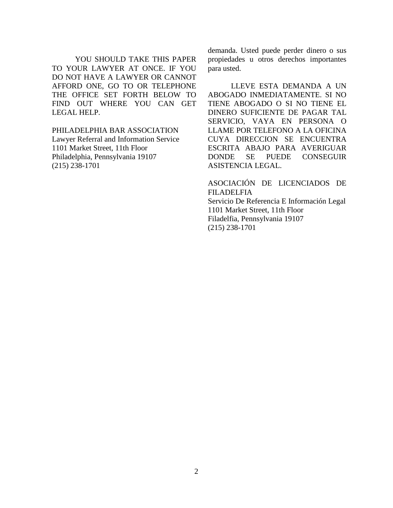YOU SHOULD TAKE THIS PAPER TO YOUR LAWYER AT ONCE. IF YOU DO NOT HAVE A LAWYER OR CANNOT AFFORD ONE, GO TO OR TELEPHONE THE OFFICE SET FORTH BELOW TO FIND OUT WHERE YOU CAN GET LEGAL HELP.

PHILADELPHIA BAR ASSOCIATION Lawyer Referral and Information Service 1101 Market Street, 11th Floor Philadelphia, Pennsylvania 19107 (215) 238-1701

demanda. Usted puede perder dinero o sus propiedades u otros derechos importantes para usted.

LLEVE ESTA DEMANDA A UN ABOGADO INMEDIATAMENTE. SI NO TIENE ABOGADO O SI NO TIENE EL DINERO SUFICIENTE DE PAGAR TAL SERVICIO, VAYA EN PERSONA O LLAME POR TELEFONO A LA OFICINA CUYA DIRECCION SE ENCUENTRA ESCRITA ABAJO PARA AVERIGUAR DONDE SE PUEDE CONSEGUIR ASISTENCIA LEGAL.

ASOCIACIÓN DE LICENCIADOS DE FILADELFIA Servicio De Referencia E Información Legal 1101 Market Street, 11th Floor Filadelfia, Pennsylvania 19107 (215) 238-1701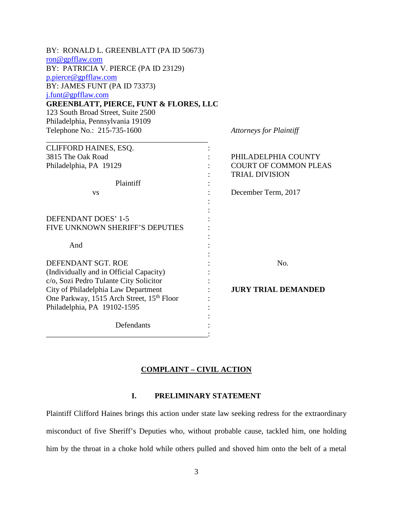| BY: RONALD L. GREENBLATT (PA ID 50673)                |                                |
|-------------------------------------------------------|--------------------------------|
| $\overline{\text{ron@gpfflaw.com}}$                   |                                |
| BY: PATRICIA V. PIERCE (PA ID 23129)                  |                                |
| p.pierce@gpfflaw.com                                  |                                |
| BY: JAMES FUNT (PA ID 73373)<br>j.funt@gpfflaw.com    |                                |
| <b>GREENBLATT, PIERCE, FUNT &amp; FLORES, LLC</b>     |                                |
| 123 South Broad Street, Suite 2500                    |                                |
| Philadelphia, Pennsylvania 19109                      |                                |
| Telephone No.: 215-735-1600                           | <b>Attorneys for Plaintiff</b> |
| CLIFFORD HAINES, ESQ.                                 |                                |
| 3815 The Oak Road                                     | PHILADELPHIA COUNTY            |
| Philadelphia, PA 19129                                | <b>COURT OF COMMON PLEAS</b>   |
|                                                       | <b>TRIAL DIVISION</b>          |
| Plaintiff                                             |                                |
| <b>VS</b>                                             | December Term, 2017            |
|                                                       |                                |
| DEFENDANT DOES' 1-5                                   |                                |
| FIVE UNKNOWN SHERIFF'S DEPUTIES                       |                                |
|                                                       |                                |
| And                                                   |                                |
| DEFENDANT SGT. ROE                                    | No.                            |
| (Individually and in Official Capacity)               |                                |
| c/o, Sozi Pedro Tulante City Solicitor                |                                |
| City of Philadelphia Law Department                   | <b>JURY TRIAL DEMANDED</b>     |
| One Parkway, 1515 Arch Street, 15 <sup>th</sup> Floor |                                |
| Philadelphia, PA 19102-1595                           |                                |
| Defendants                                            |                                |

## **COMPLAINT – CIVIL ACTION**

## **I. PRELIMINARY STATEMENT**

Plaintiff Clifford Haines brings this action under state law seeking redress for the extraordinary misconduct of five Sheriff's Deputies who, without probable cause, tackled him, one holding him by the throat in a choke hold while others pulled and shoved him onto the belt of a metal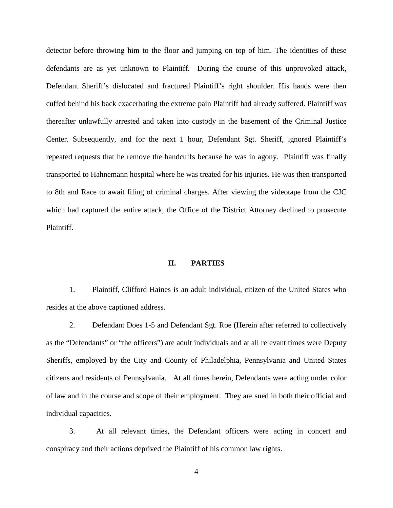detector before throwing him to the floor and jumping on top of him. The identities of these defendants are as yet unknown to Plaintiff. During the course of this unprovoked attack, Defendant Sheriff's dislocated and fractured Plaintiff's right shoulder. His hands were then cuffed behind his back exacerbating the extreme pain Plaintiff had already suffered. Plaintiff was thereafter unlawfully arrested and taken into custody in the basement of the Criminal Justice Center. Subsequently, and for the next 1 hour, Defendant Sgt. Sheriff, ignored Plaintiff's repeated requests that he remove the handcuffs because he was in agony. Plaintiff was finally transported to Hahnemann hospital where he was treated for his injuries. He was then transported to 8th and Race to await filing of criminal charges. After viewing the videotape from the CJC which had captured the entire attack, the Office of the District Attorney declined to prosecute Plaintiff.

#### **II. PARTIES**

1. Plaintiff, Clifford Haines is an adult individual, citizen of the United States who resides at the above captioned address.

2. Defendant Does 1-5 and Defendant Sgt. Roe (Herein after referred to collectively as the "Defendants" or "the officers") are adult individuals and at all relevant times were Deputy Sheriffs, employed by the City and County of Philadelphia, Pennsylvania and United States citizens and residents of Pennsylvania. At all times herein, Defendants were acting under color of law and in the course and scope of their employment. They are sued in both their official and individual capacities.

3. At all relevant times, the Defendant officers were acting in concert and conspiracy and their actions deprived the Plaintiff of his common law rights.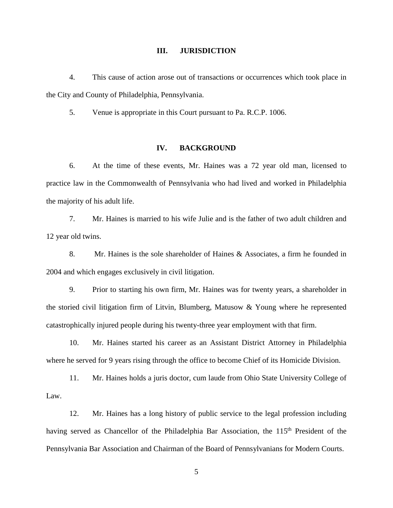#### **III. JURISDICTION**

4. This cause of action arose out of transactions or occurrences which took place in the City and County of Philadelphia, Pennsylvania.

5. Venue is appropriate in this Court pursuant to Pa. R.C.P. 1006.

## **IV. BACKGROUND**

6. At the time of these events, Mr. Haines was a 72 year old man, licensed to practice law in the Commonwealth of Pennsylvania who had lived and worked in Philadelphia the majority of his adult life.

7. Mr. Haines is married to his wife Julie and is the father of two adult children and 12 year old twins.

8. Mr. Haines is the sole shareholder of Haines & Associates, a firm he founded in 2004 and which engages exclusively in civil litigation.

9. Prior to starting his own firm, Mr. Haines was for twenty years, a shareholder in the storied civil litigation firm of Litvin, Blumberg, Matusow & Young where he represented catastrophically injured people during his twenty-three year employment with that firm.

10. Mr. Haines started his career as an Assistant District Attorney in Philadelphia where he served for 9 years rising through the office to become Chief of its Homicide Division.

11. Mr. Haines holds a juris doctor, cum laude from Ohio State University College of Law.

12. Mr. Haines has a long history of public service to the legal profession including having served as Chancellor of the Philadelphia Bar Association, the 115<sup>th</sup> President of the Pennsylvania Bar Association and Chairman of the Board of Pennsylvanians for Modern Courts.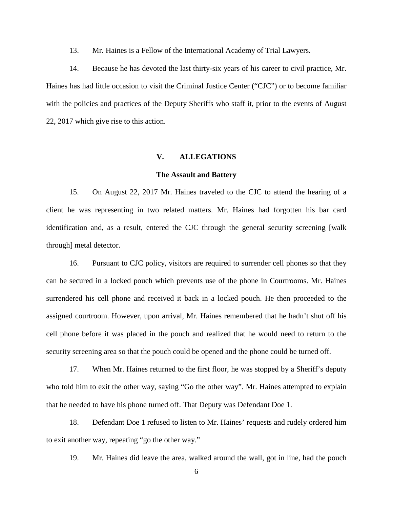13. Mr. Haines is a Fellow of the International Academy of Trial Lawyers.

14. Because he has devoted the last thirty-six years of his career to civil practice, Mr. Haines has had little occasion to visit the Criminal Justice Center ("CJC") or to become familiar with the policies and practices of the Deputy Sheriffs who staff it, prior to the events of August 22, 2017 which give rise to this action.

## **V. ALLEGATIONS**

#### **The Assault and Battery**

15. On August 22, 2017 Mr. Haines traveled to the CJC to attend the hearing of a client he was representing in two related matters. Mr. Haines had forgotten his bar card identification and, as a result, entered the CJC through the general security screening [walk through] metal detector.

16. Pursuant to CJC policy, visitors are required to surrender cell phones so that they can be secured in a locked pouch which prevents use of the phone in Courtrooms. Mr. Haines surrendered his cell phone and received it back in a locked pouch. He then proceeded to the assigned courtroom. However, upon arrival, Mr. Haines remembered that he hadn't shut off his cell phone before it was placed in the pouch and realized that he would need to return to the security screening area so that the pouch could be opened and the phone could be turned off.

17. When Mr. Haines returned to the first floor, he was stopped by a Sheriff's deputy who told him to exit the other way, saying "Go the other way". Mr. Haines attempted to explain that he needed to have his phone turned off. That Deputy was Defendant Doe 1.

18. Defendant Doe 1 refused to listen to Mr. Haines' requests and rudely ordered him to exit another way, repeating "go the other way."

19. Mr. Haines did leave the area, walked around the wall, got in line, had the pouch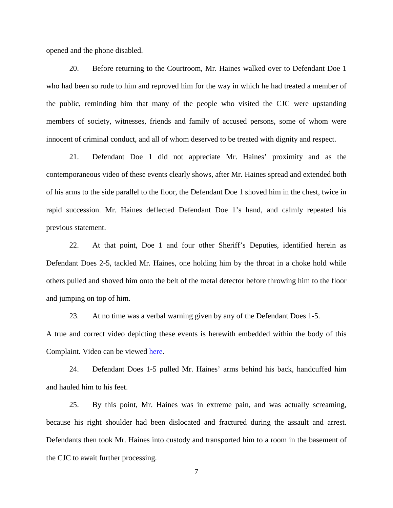opened and the phone disabled.

20. Before returning to the Courtroom, Mr. Haines walked over to Defendant Doe 1 who had been so rude to him and reproved him for the way in which he had treated a member of the public, reminding him that many of the people who visited the CJC were upstanding members of society, witnesses, friends and family of accused persons, some of whom were innocent of criminal conduct, and all of whom deserved to be treated with dignity and respect.

21. Defendant Doe 1 did not appreciate Mr. Haines' proximity and as the contemporaneous video of these events clearly shows, after Mr. Haines spread and extended both of his arms to the side parallel to the floor, the Defendant Doe 1 shoved him in the chest, twice in rapid succession. Mr. Haines deflected Defendant Doe 1's hand, and calmly repeated his previous statement.

22. At that point, Doe 1 and four other Sheriff's Deputies, identified herein as Defendant Does 2-5, tackled Mr. Haines, one holding him by the throat in a choke hold while others pulled and shoved him onto the belt of the metal detector before throwing him to the floor and jumping on top of him.

23. At no time was a verbal warning given by any of the Defendant Does 1-5.

A true and correct video depicting these events is herewith embedded within the body of this Complaint. Video can be viewed [here.](http://www.gpfflaw.com/video-attorney-clifford-haines-incident/)

24. Defendant Does 1-5 pulled Mr. Haines' arms behind his back, handcuffed him and hauled him to his feet.

25. By this point, Mr. Haines was in extreme pain, and was actually screaming, because his right shoulder had been dislocated and fractured during the assault and arrest. Defendants then took Mr. Haines into custody and transported him to a room in the basement of the CJC to await further processing.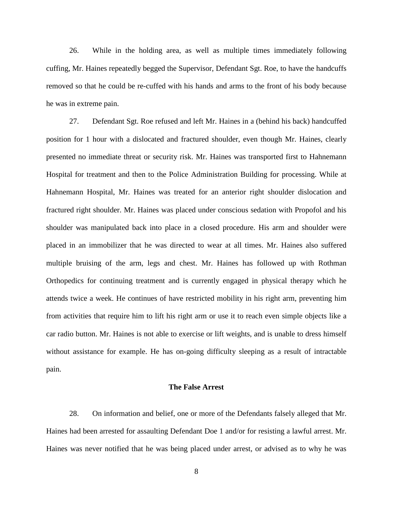26. While in the holding area, as well as multiple times immediately following cuffing, Mr. Haines repeatedly begged the Supervisor, Defendant Sgt. Roe, to have the handcuffs removed so that he could be re-cuffed with his hands and arms to the front of his body because he was in extreme pain.

27. Defendant Sgt. Roe refused and left Mr. Haines in a (behind his back) handcuffed position for 1 hour with a dislocated and fractured shoulder, even though Mr. Haines, clearly presented no immediate threat or security risk. Mr. Haines was transported first to Hahnemann Hospital for treatment and then to the Police Administration Building for processing. While at Hahnemann Hospital, Mr. Haines was treated for an anterior right shoulder dislocation and fractured right shoulder. Mr. Haines was placed under conscious sedation with Propofol and his shoulder was manipulated back into place in a closed procedure. His arm and shoulder were placed in an immobilizer that he was directed to wear at all times. Mr. Haines also suffered multiple bruising of the arm, legs and chest. Mr. Haines has followed up with Rothman Orthopedics for continuing treatment and is currently engaged in physical therapy which he attends twice a week. He continues of have restricted mobility in his right arm, preventing him from activities that require him to lift his right arm or use it to reach even simple objects like a car radio button. Mr. Haines is not able to exercise or lift weights, and is unable to dress himself without assistance for example. He has on-going difficulty sleeping as a result of intractable pain.

### **The False Arrest**

28. On information and belief, one or more of the Defendants falsely alleged that Mr. Haines had been arrested for assaulting Defendant Doe 1 and/or for resisting a lawful arrest. Mr. Haines was never notified that he was being placed under arrest, or advised as to why he was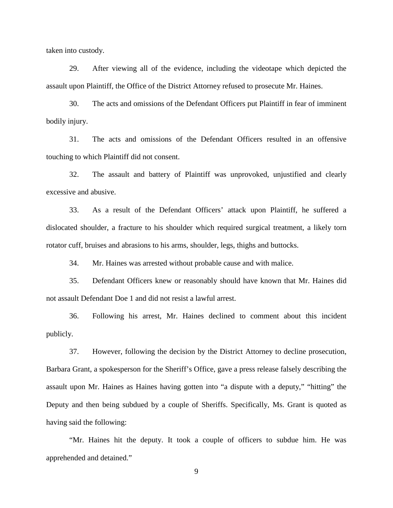taken into custody.

29. After viewing all of the evidence, including the videotape which depicted the assault upon Plaintiff, the Office of the District Attorney refused to prosecute Mr. Haines.

30. The acts and omissions of the Defendant Officers put Plaintiff in fear of imminent bodily injury.

31. The acts and omissions of the Defendant Officers resulted in an offensive touching to which Plaintiff did not consent.

32. The assault and battery of Plaintiff was unprovoked, unjustified and clearly excessive and abusive.

33. As a result of the Defendant Officers' attack upon Plaintiff, he suffered a dislocated shoulder, a fracture to his shoulder which required surgical treatment, a likely torn rotator cuff, bruises and abrasions to his arms, shoulder, legs, thighs and buttocks.

34. Mr. Haines was arrested without probable cause and with malice.

35. Defendant Officers knew or reasonably should have known that Mr. Haines did not assault Defendant Doe 1 and did not resist a lawful arrest.

36. Following his arrest, Mr. Haines declined to comment about this incident publicly.

37. However, following the decision by the District Attorney to decline prosecution, Barbara Grant, a spokesperson for the Sheriff's Office, gave a press release falsely describing the assault upon Mr. Haines as Haines having gotten into "a dispute with a deputy," "hitting" the Deputy and then being subdued by a couple of Sheriffs. Specifically, Ms. Grant is quoted as having said the following:

"Mr. Haines hit the deputy. It took a couple of officers to subdue him. He was apprehended and detained."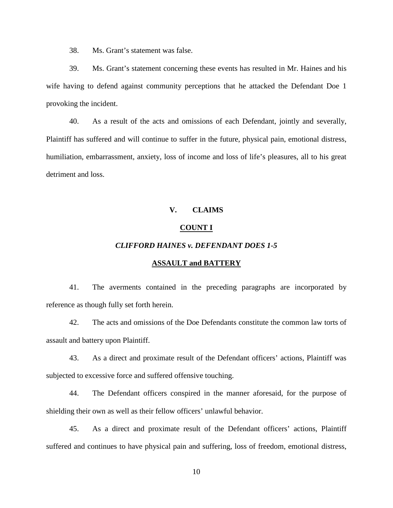38. Ms. Grant's statement was false.

39. Ms. Grant's statement concerning these events has resulted in Mr. Haines and his wife having to defend against community perceptions that he attacked the Defendant Doe 1 provoking the incident.

40. As a result of the acts and omissions of each Defendant, jointly and severally, Plaintiff has suffered and will continue to suffer in the future, physical pain, emotional distress, humiliation, embarrassment, anxiety, loss of income and loss of life's pleasures, all to his great detriment and loss.

## **V. CLAIMS**

#### **COUNT I**

### *CLIFFORD HAINES v. DEFENDANT DOES 1-5*

### **ASSAULT and BATTERY**

41. The averments contained in the preceding paragraphs are incorporated by reference as though fully set forth herein.

42. The acts and omissions of the Doe Defendants constitute the common law torts of assault and battery upon Plaintiff.

43. As a direct and proximate result of the Defendant officers' actions, Plaintiff was subjected to excessive force and suffered offensive touching.

44. The Defendant officers conspired in the manner aforesaid, for the purpose of shielding their own as well as their fellow officers' unlawful behavior.

45. As a direct and proximate result of the Defendant officers' actions, Plaintiff suffered and continues to have physical pain and suffering, loss of freedom, emotional distress,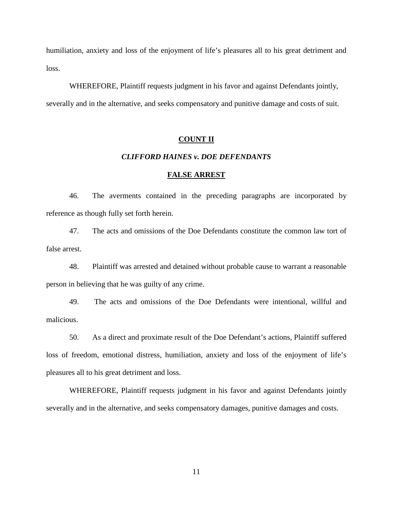humiliation, anxiety and loss of the enjoyment of life's pleasures all to his great detriment and loss.

WHEREFORE, Plaintiff requests judgment in his favor and against Defendants jointly, severally and in the alternative, and seeks compensatory and punitive damage and costs of suit.

### **COUNT II**

## *CLIFFORD HAINES v. DOE DEFENDANTS*

#### **FALSE ARREST**

46. The averments contained in the preceding paragraphs are incorporated by reference as though fully set forth herein.

47. The acts and omissions of the Doe Defendants constitute the common law tort of false arrest.

48. Plaintiff was arrested and detained without probable cause to warrant a reasonable person in believing that he was guilty of any crime.

49. The acts and omissions of the Doe Defendants were intentional, willful and malicious.

50. As a direct and proximate result of the Doe Defendant's actions, Plaintiff suffered loss of freedom, emotional distress, humiliation, anxiety and loss of the enjoyment of life's pleasures all to his great detriment and loss.

WHEREFORE, Plaintiff requests judgment in his favor and against Defendants jointly severally and in the alternative, and seeks compensatory damages, punitive damages and costs.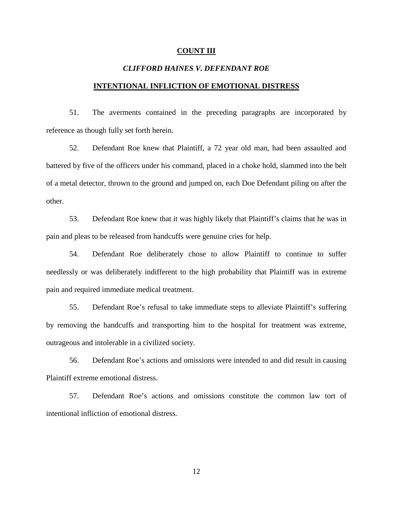#### **COUNT III**

## *CLIFFORD HAINES V. DEFENDANT ROE*

## **INTENTIONAL INFLICTION OF EMOTIONAL DISTRESS**

51. The averments contained in the preceding paragraphs are incorporated by reference as though fully set forth herein.

52. Defendant Roe knew that Plaintiff, a 72 year old man, had been assaulted and battered by five of the officers under his command, placed in a choke hold, slammed into the belt of a metal detector, thrown to the ground and jumped on, each Doe Defendant piling on after the other.

53. Defendant Roe knew that it was highly likely that Plaintiff's claims that he was in pain and pleas to be released from handcuffs were genuine cries for help.

54. Defendant Roe deliberately chose to allow Plaintiff to continue to suffer needlessly or was deliberately indifferent to the high probability that Plaintiff was in extreme pain and required immediate medical treatment.

55. Defendant Roe's refusal to take immediate steps to alleviate Plaintiff's suffering by removing the handcuffs and transporting him to the hospital for treatment was extreme, outrageous and intolerable in a civilized society.

56. Defendant Roe's actions and omissions were intended to and did result in causing Plaintiff extreme emotional distress.

57. Defendant Roe's actions and omissions constitute the common law tort of intentional infliction of emotional distress.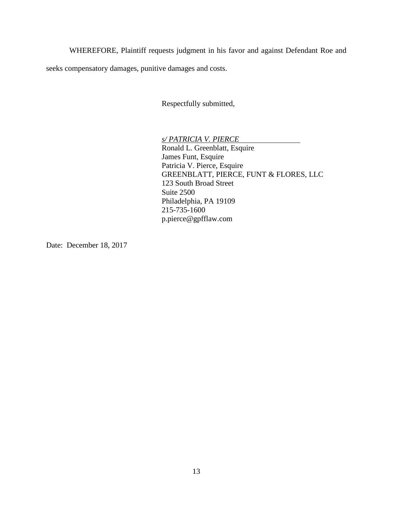WHEREFORE, Plaintiff requests judgment in his favor and against Defendant Roe and

seeks compensatory damages, punitive damages and costs.

Respectfully submitted,

*s/ PATRICIA V. PIERCE* Ronald L. Greenblatt, Esquire James Funt, Esquire Patricia V. Pierce, Esquire GREENBLATT, PIERCE, FUNT & FLORES, LLC 123 South Broad Street Suite 2500 Philadelphia, PA 19109 215-735-1600 p.pierce@gpfflaw.com

Date: December 18, 2017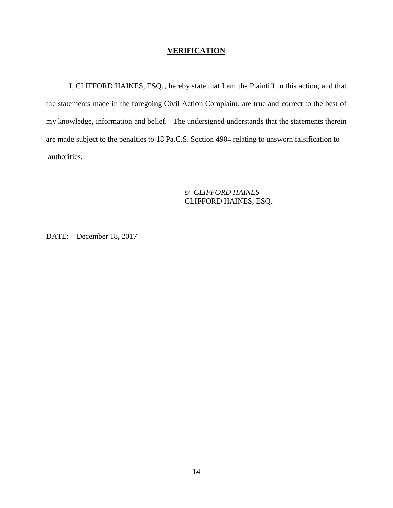## **VERIFICATION**

I, CLIFFORD HAINES, ESQ. , hereby state that I am the Plaintiff in this action, and that the statements made in the foregoing Civil Action Complaint, are true and correct to the best of my knowledge, information and belief. The undersigned understands that the statements therein are made subject to the penalties to 18 Pa.C.S. Section 4904 relating to unsworn falsification to authorities.

> *s/ CLIFFORD HAINES* CLIFFORD HAINES, ESQ.

DATE: December 18, 2017